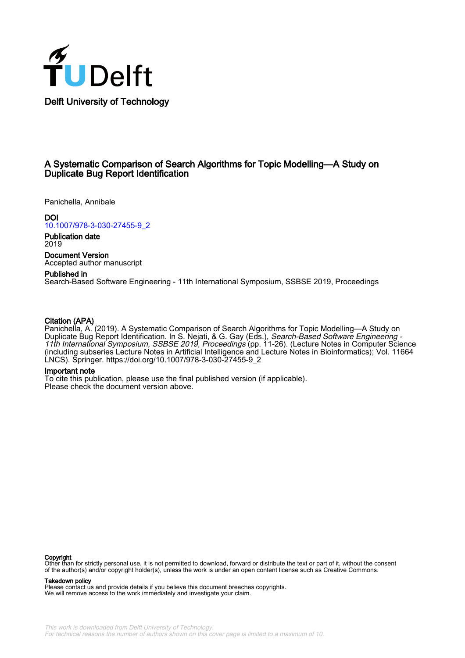

# A Systematic Comparison of Search Algorithms for Topic Modelling—A Study on Duplicate Bug Report Identification

Panichella, Annibale

**DOI** [10.1007/978-3-030-27455-9\\_2](https://doi.org/10.1007/978-3-030-27455-9_2)

Publication date 2019

Document Version Accepted author manuscript

Published in Search-Based Software Engineering - 11th International Symposium, SSBSE 2019, Proceedings

## Citation (APA)

Panichella, A. (2019). A Systematic Comparison of Search Algorithms for Topic Modelling—A Study on Duplicate Bug Report Identification. In S. Nejati, & G. Gay (Eds.), *Search-Based Software Engineering -*11th International Symposium, SSBSE 2019, Proceedings (pp. 11-26). (Lecture Notes in Computer Science (including subseries Lecture Notes in Artificial Intelligence and Lecture Notes in Bioinformatics); Vol. 11664 LNCS). Springer. [https://doi.org/10.1007/978-3-030-27455-9\\_2](https://doi.org/10.1007/978-3-030-27455-9_2)

### Important note

To cite this publication, please use the final published version (if applicable). Please check the document version above.

#### Copyright

Other than for strictly personal use, it is not permitted to download, forward or distribute the text or part of it, without the consent of the author(s) and/or copyright holder(s), unless the work is under an open content license such as Creative Commons.

#### Takedown policy

Please contact us and provide details if you believe this document breaches copyrights. We will remove access to the work immediately and investigate your claim.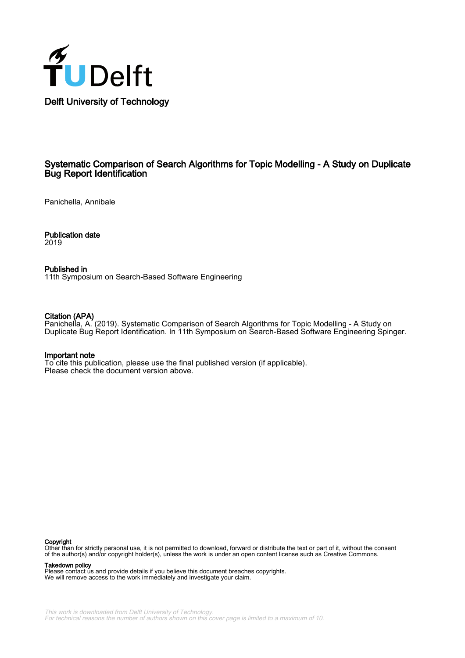

# Systematic Comparison of Search Algorithms for Topic Modelling - A Study on Duplicate Bug Report Identification

Panichella, Annibale

Publication date 2019

Published in 11th Symposium on Search-Based Software Engineering

## Citation (APA)

Panichella, A. (2019). Systematic Comparison of Search Algorithms for Topic Modelling - A Study on Duplicate Bug Report Identification. In 11th Symposium on Search-Based Software Engineering Spinger.

## Important note

To cite this publication, please use the final published version (if applicable). Please check the document version above.

## Copyright

Other than for strictly personal use, it is not permitted to download, forward or distribute the text or part of it, without the consent of the author(s) and/or copyright holder(s), unless the work is under an open content license such as Creative Commons.

#### Takedown policy

Please contact us and provide details if you believe this document breaches copyrights. We will remove access to the work immediately and investigate your claim.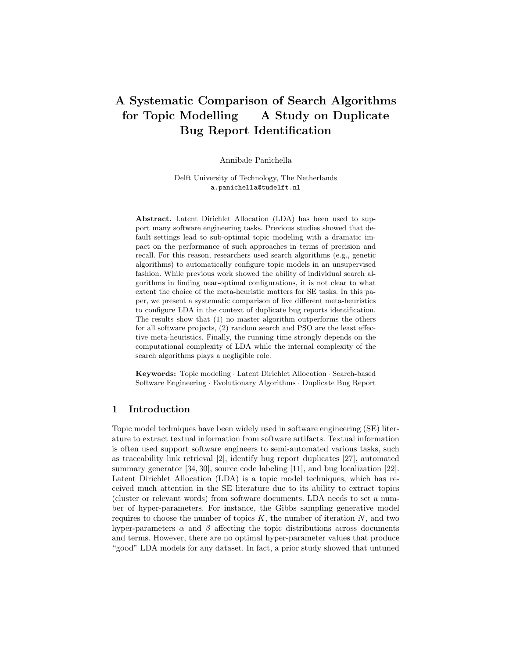# A Systematic Comparison of Search Algorithms for Topic Modelling — A Study on Duplicate Bug Report Identification

Annibale Panichella

Delft University of Technology, The Netherlands a.panichella@tudelft.nl

Abstract. Latent Dirichlet Allocation (LDA) has been used to support many software engineering tasks. Previous studies showed that default settings lead to sub-optimal topic modeling with a dramatic impact on the performance of such approaches in terms of precision and recall. For this reason, researchers used search algorithms (e.g., genetic algorithms) to automatically configure topic models in an unsupervised fashion. While previous work showed the ability of individual search algorithms in finding near-optimal configurations, it is not clear to what extent the choice of the meta-heuristic matters for SE tasks. In this paper, we present a systematic comparison of five different meta-heuristics to configure LDA in the context of duplicate bug reports identification. The results show that (1) no master algorithm outperforms the others for all software projects, (2) random search and PSO are the least effective meta-heuristics. Finally, the running time strongly depends on the computational complexity of LDA while the internal complexity of the search algorithms plays a negligible role.

Keywords: Topic modeling · Latent Dirichlet Allocation · Search-based Software Engineering · Evolutionary Algorithms · Duplicate Bug Report

## 1 Introduction

Topic model techniques have been widely used in software engineering (SE) literature to extract textual information from software artifacts. Textual information is often used support software engineers to semi-automated various tasks, such as traceability link retrieval [2], identify bug report duplicates [27], automated summary generator [34, 30], source code labeling [11], and bug localization [22]. Latent Dirichlet Allocation (LDA) is a topic model techniques, which has received much attention in the SE literature due to its ability to extract topics (cluster or relevant words) from software documents. LDA needs to set a number of hyper-parameters. For instance, the Gibbs sampling generative model requires to choose the number of topics  $K$ , the number of iteration  $N$ , and two hyper-parameters  $\alpha$  and  $\beta$  affecting the topic distributions across documents and terms. However, there are no optimal hyper-parameter values that produce "good" LDA models for any dataset. In fact, a prior study showed that untuned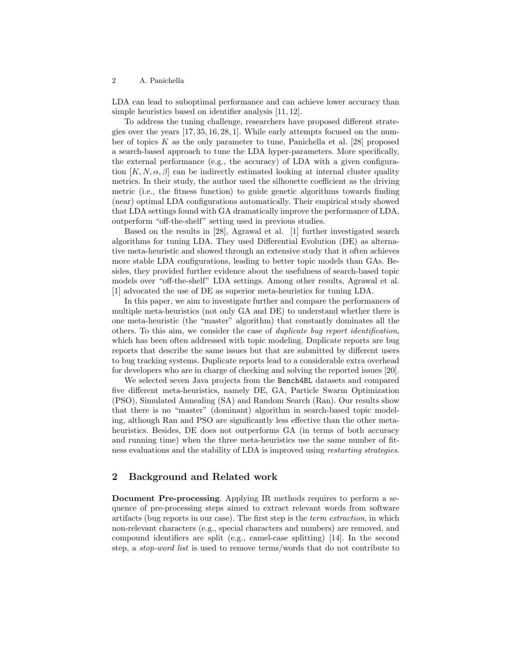LDA can lead to suboptimal performance and can achieve lower accuracy than simple heuristics based on identifier analysis [11, 12].

To address the tuning challenge, researchers have proposed different strategies over the years [17, 35, 16, 28, 1]. While early attempts focused on the number of topics  $K$  as the only parameter to tune, Panichella et al. [28] proposed a search-based approach to tune the LDA hyper-parameters. More specifically, the external performance (e.g., the accuracy) of LDA with a given configuration  $[K, N, \alpha, \beta]$  can be indirectly estimated looking at internal cluster quality metrics. In their study, the author used the silhouette coefficient as the driving metric (i.e., the fitness function) to guide genetic algorithms towards finding (near) optimal LDA configurations automatically. Their empirical study showed that LDA settings found with GA dramatically improve the performance of LDA, outperform "off-the-shelf" setting used in previous studies.

Based on the results in [28], Agrawal et al. [1] further investigated search algorithms for tuning LDA. They used Differential Evolution (DE) as alternative meta-heuristic and showed through an extensive study that it often achieves more stable LDA configurations, leading to better topic models than GAs. Besides, they provided further evidence about the usefulness of search-based topic models over "off-the-shelf" LDA settings. Among other results, Agrawal et al. [1] advocated the use of DE as superior meta-heuristics for tuning LDA.

In this paper, we aim to investigate further and compare the performances of multiple meta-heuristics (not only GA and DE) to understand whether there is one meta-heuristic (the "master" algorithm) that constantly dominates all the others. To this aim, we consider the case of duplicate bug report identification, which has been often addressed with topic modeling. Duplicate reports are bug reports that describe the same issues but that are submitted by different users to bug tracking systems. Duplicate reports lead to a considerable extra overhead for developers who are in charge of checking and solving the reported issues [20].

We selected seven Java projects from the Bench4BL datasets and compared five different meta-heuristics, namely DE, GA, Particle Swarm Optimization (PSO), Simulated Annealing (SA) and Random Search (Ran). Our results show that there is no "master" (dominant) algorithm in search-based topic modeling, although Ran and PSO are significantly less effective than the other metaheuristics. Besides, DE does not outperforms GA (in terms of both accuracy and running time) when the three meta-heuristics use the same number of fitness evaluations and the stability of LDA is improved using restarting strategies.

## 2 Background and Related work

Document Pre-processing. Applying IR methods requires to perform a sequence of pre-processing steps aimed to extract relevant words from software artifacts (bug reports in our case). The first step is the term extraction, in which non-relevant characters (e.g., special characters and numbers) are removed, and compound identifiers are split (e.g., camel-case splitting) [14]. In the second step, a stop-word list is used to remove terms/words that do not contribute to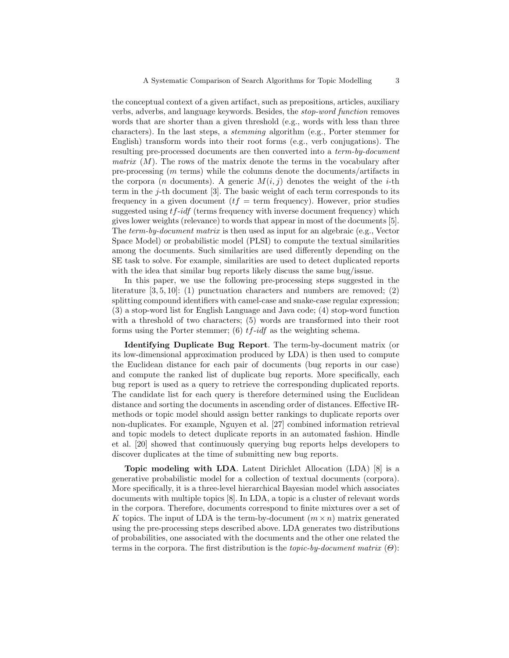the conceptual context of a given artifact, such as prepositions, articles, auxiliary verbs, adverbs, and language keywords. Besides, the stop-word function removes words that are shorter than a given threshold (e.g., words with less than three characters). In the last steps, a stemming algorithm (e.g., Porter stemmer for English) transform words into their root forms (e.g., verb conjugations). The resulting pre-processed documents are then converted into a term-by-document *matrix*  $(M)$ . The rows of the matrix denote the terms in the vocabulary after pre-processing (m terms) while the columns denote the documents/artifacts in the corpora (*n* documents). A generic  $M(i, j)$  denotes the weight of the *i*-th term in the  $j$ -th document  $[3]$ . The basic weight of each term corresponds to its frequency in a given document  $(tf = \text{term frequency})$ . However, prior studies suggested using  $tf-idf$  (terms frequency with inverse document frequency) which gives lower weights (relevance) to words that appear in most of the documents [5]. The *term-by-document matrix* is then used as input for an algebraic (e.g., Vector Space Model) or probabilistic model (PLSI) to compute the textual similarities among the documents. Such similarities are used differently depending on the SE task to solve. For example, similarities are used to detect duplicated reports with the idea that similar bug reports likely discuss the same bug/issue.

In this paper, we use the following pre-processing steps suggested in the literature  $[3, 5, 10]$ : (1) punctuation characters and numbers are removed; (2) splitting compound identifiers with camel-case and snake-case regular expression; (3) a stop-word list for English Language and Java code; (4) stop-word function with a threshold of two characters; (5) words are transformed into their root forms using the Porter stemmer; (6)  $tf$ -idf as the weighting schema.

Identifying Duplicate Bug Report. The term-by-document matrix (or its low-dimensional approximation produced by LDA) is then used to compute the Euclidean distance for each pair of documents (bug reports in our case) and compute the ranked list of duplicate bug reports. More specifically, each bug report is used as a query to retrieve the corresponding duplicated reports. The candidate list for each query is therefore determined using the Euclidean distance and sorting the documents in ascending order of distances. Effective IRmethods or topic model should assign better rankings to duplicate reports over non-duplicates. For example, Nguyen et al. [27] combined information retrieval and topic models to detect duplicate reports in an automated fashion. Hindle et al. [20] showed that continuously querying bug reports helps developers to discover duplicates at the time of submitting new bug reports.

Topic modeling with LDA. Latent Dirichlet Allocation (LDA) [8] is a generative probabilistic model for a collection of textual documents (corpora). More specifically, it is a three-level hierarchical Bayesian model which associates documents with multiple topics [8]. In LDA, a topic is a cluster of relevant words in the corpora. Therefore, documents correspond to finite mixtures over a set of K topics. The input of LDA is the term-by-document  $(m \times n)$  matrix generated using the pre-processing steps described above. LDA generates two distributions of probabilities, one associated with the documents and the other one related the terms in the corpora. The first distribution is the *topic-by-document matrix*  $(\Theta)$ :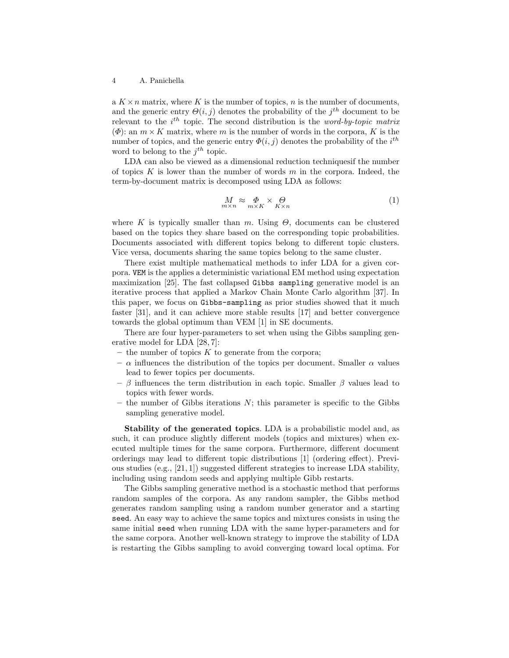a  $K \times n$  matrix, where K is the number of topics, n is the number of documents, and the generic entry  $\Theta(i, j)$  denotes the probability of the  $j<sup>th</sup>$  document to be relevant to the  $i^{th}$  topic. The second distribution is the *word-by-topic matrix*  $(\Phi)$ : an  $m \times K$  matrix, where m is the number of words in the corpora, K is the number of topics, and the generic entry  $\Phi(i, j)$  denotes the probability of the  $i^{th}$ word to belong to the  $j^{th}$  topic.

LDA can also be viewed as a dimensional reduction techniquesif the number of topics  $K$  is lower than the number of words  $m$  in the corpora. Indeed, the term-by-document matrix is decomposed using LDA as follows:

$$
\underset{m \times n}{M} \approx \underset{m \times K}{\Phi} \times \underset{K \times n}{\Theta} \tag{1}
$$

where K is typically smaller than m. Using  $\Theta$ , documents can be clustered based on the topics they share based on the corresponding topic probabilities. Documents associated with different topics belong to different topic clusters. Vice versa, documents sharing the same topics belong to the same cluster.

There exist multiple mathematical methods to infer LDA for a given corpora. VEM is the applies a deterministic variational EM method using expectation maximization [25]. The fast collapsed Gibbs sampling generative model is an iterative process that applied a Markov Chain Monte Carlo algorithm [37]. In this paper, we focus on Gibbs-sampling as prior studies showed that it much faster [31], and it can achieve more stable results [17] and better convergence towards the global optimum than VEM [1] in SE documents.

There are four hyper-parameters to set when using the Gibbs sampling generative model for LDA [28, 7]:

- the number of topics  $K$  to generate from the corpora;
- $\alpha$  influences the distribution of the topics per document. Smaller  $\alpha$  values lead to fewer topics per documents.
- β influences the term distribution in each topic. Smaller β values lead to topics with fewer words.
- the number of Gibbs iterations  $N$ ; this parameter is specific to the Gibbs sampling generative model.

Stability of the generated topics. LDA is a probabilistic model and, as such, it can produce slightly different models (topics and mixtures) when executed multiple times for the same corpora. Furthermore, different document orderings may lead to different topic distributions [1] (ordering effect). Previous studies (e.g., [21, 1]) suggested different strategies to increase LDA stability, including using random seeds and applying multiple Gibb restarts.

The Gibbs sampling generative method is a stochastic method that performs random samples of the corpora. As any random sampler, the Gibbs method generates random sampling using a random number generator and a starting seed. An easy way to achieve the same topics and mixtures consists in using the same initial seed when running LDA with the same hyper-parameters and for the same corpora. Another well-known strategy to improve the stability of LDA is restarting the Gibbs sampling to avoid converging toward local optima. For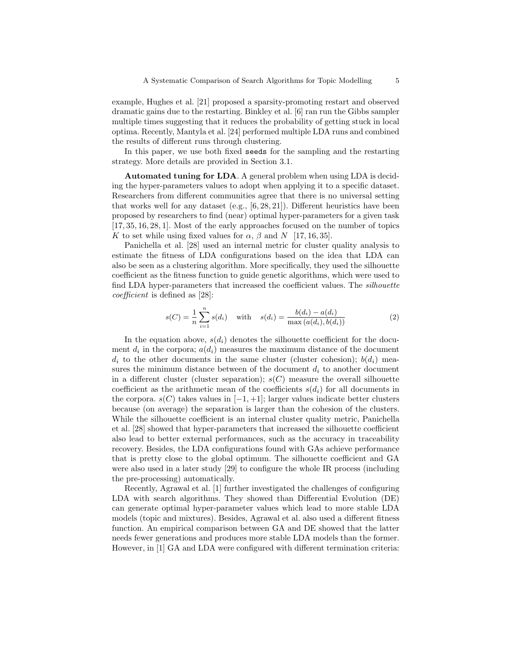example, Hughes et al. [21] proposed a sparsity-promoting restart and observed dramatic gains due to the restarting. Binkley et al. [6] ran run the Gibbs sampler multiple times suggesting that it reduces the probability of getting stuck in local optima. Recently, Mantyla et al. [24] performed multiple LDA runs and combined the results of different runs through clustering.

In this paper, we use both fixed seeds for the sampling and the restarting strategy. More details are provided in Section 3.1.

Automated tuning for LDA. A general problem when using LDA is deciding the hyper-parameters values to adopt when applying it to a specific dataset. Researchers from different communities agree that there is no universal setting that works well for any dataset (e.g., [6, 28, 21]). Different heuristics have been proposed by researchers to find (near) optimal hyper-parameters for a given task [17, 35, 16, 28, 1]. Most of the early approaches focused on the number of topics K to set while using fixed values for  $\alpha$ ,  $\beta$  and N [17, 16, 35].

Panichella et al. [28] used an internal metric for cluster quality analysis to estimate the fitness of LDA configurations based on the idea that LDA can also be seen as a clustering algorithm. More specifically, they used the silhouette coefficient as the fitness function to guide genetic algorithms, which were used to find LDA hyper-parameters that increased the coefficient values. The *silhouette* coefficient is defined as [28]:

$$
s(C) = \frac{1}{n} \sum_{i=1}^{n} s(d_i) \quad \text{with} \quad s(d_i) = \frac{b(d_i) - a(d_i)}{\max(a(d_i), b(d_i))}
$$
(2)

In the equation above,  $s(d_i)$  denotes the silhouette coefficient for the document  $d_i$  in the corpora;  $a(d_i)$  measures the maximum distance of the document  $d_i$  to the other documents in the same cluster (cluster cohesion);  $b(d_i)$  measures the minimum distance between of the document  $d_i$  to another document in a different cluster (cluster separation);  $s(C)$  measure the overall silhouette coefficient as the arithmetic mean of the coefficients  $s(d_i)$  for all documents in the corpora.  $s(C)$  takes values in  $[-1, +1]$ ; larger values indicate better clusters because (on average) the separation is larger than the cohesion of the clusters. While the silhouette coefficient is an internal cluster quality metric, Panichella et al. [28] showed that hyper-parameters that increased the silhouette coefficient also lead to better external performances, such as the accuracy in traceability recovery. Besides, the LDA configurations found with GAs achieve performance that is pretty close to the global optimum. The silhouette coefficient and GA were also used in a later study [29] to configure the whole IR process (including the pre-processing) automatically.

Recently, Agrawal et al. [1] further investigated the challenges of configuring LDA with search algorithms. They showed than Differential Evolution (DE) can generate optimal hyper-parameter values which lead to more stable LDA models (topic and mixtures). Besides, Agrawal et al. also used a different fitness function. An empirical comparison between GA and DE showed that the latter needs fewer generations and produces more stable LDA models than the former. However, in [1] GA and LDA were configured with different termination criteria: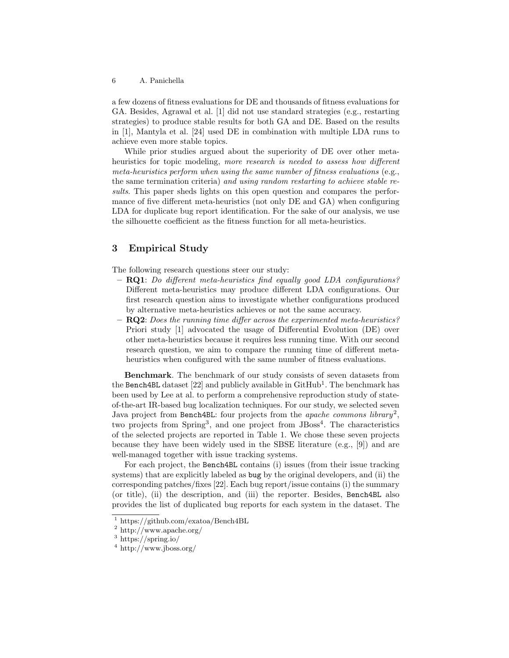a few dozens of fitness evaluations for DE and thousands of fitness evaluations for GA. Besides, Agrawal et al. [1] did not use standard strategies (e.g., restarting strategies) to produce stable results for both GA and DE. Based on the results in [1], Mantyla et al. [24] used DE in combination with multiple LDA runs to achieve even more stable topics.

While prior studies argued about the superiority of DE over other metaheuristics for topic modeling, more research is needed to assess how different meta-heuristics perform when using the same number of fitness evaluations (e.g., the same termination criteria) and using random restarting to achieve stable results. This paper sheds lights on this open question and compares the performance of five different meta-heuristics (not only DE and GA) when configuring LDA for duplicate bug report identification. For the sake of our analysis, we use the silhouette coefficient as the fitness function for all meta-heuristics.

## 3 Empirical Study

The following research questions steer our study:

- $-$  **RQ1**: Do different meta-heuristics find equally good LDA configurations? Different meta-heuristics may produce different LDA configurations. Our first research question aims to investigate whether configurations produced by alternative meta-heuristics achieves or not the same accuracy.
- $-$  **RQ2**: Does the running time differ across the experimented meta-heuristics? Priori study [1] advocated the usage of Differential Evolution (DE) over other meta-heuristics because it requires less running time. With our second research question, we aim to compare the running time of different metaheuristics when configured with the same number of fitness evaluations.

Benchmark. The benchmark of our study consists of seven datasets from the Bench4BL dataset [22] and publicly available in  $\text{GitHub}^1$ . The benchmark has been used by Lee at al. to perform a comprehensive reproduction study of stateof-the-art IR-based bug localization techniques. For our study, we selected seven Java project from Bench4BL: four projects from the apache commons library<sup>2</sup>, two projects from Spring<sup>3</sup>, and one project from JBoss<sup>4</sup>. The characteristics of the selected projects are reported in Table 1. We chose these seven projects because they have been widely used in the SBSE literature (e.g., [9]) and are well-managed together with issue tracking systems.

For each project, the Bench4BL contains (i) issues (from their issue tracking systems) that are explicitly labeled as bug by the original developers, and (ii) the corresponding patches/fixes [22]. Each bug report/issue contains (i) the summary (or title), (ii) the description, and (iii) the reporter. Besides, Bench4BL also provides the list of duplicated bug reports for each system in the dataset. The

<sup>1</sup> https://github.com/exatoa/Bench4BL

<sup>2</sup> http://www.apache.org/

<sup>3</sup> https://spring.io/

<sup>4</sup> http://www.jboss.org/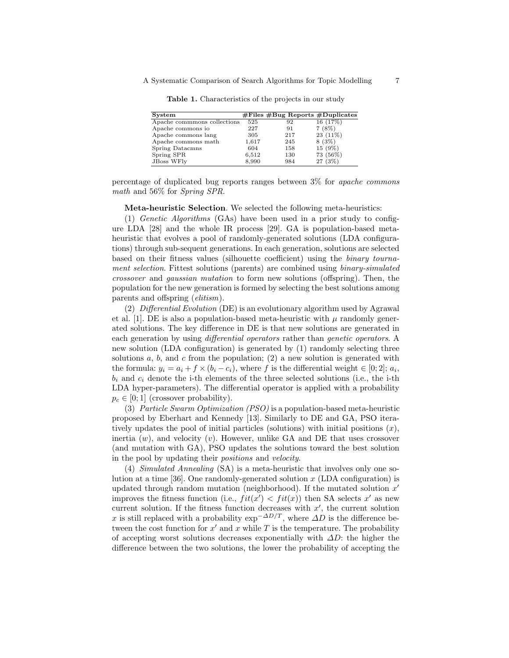System  $#Files \# Bug \text{ Reports } \#Duplicates$ Apache commmons collections 525 92 16 (17%) Apache commons io  $227$  91 7 (8%)<br>Apache commons lang 305 217 23 (11%) Apache commons lang 305 217 23 (11%) Apache commons math Spring Datacmns 604 158 15 (9%)  ${\hbox{\rm Spring\;SPR}}$ 

JBoss WFly 8,990 984 27 (3%)

Table 1. Characteristics of the projects in our study

Meta-heuristic Selection. We selected the following meta-heuristics:

(1) Genetic Algorithms (GAs) have been used in a prior study to configure LDA [28] and the whole IR process [29]. GA is population-based metaheuristic that evolves a pool of randomly-generated solutions (LDA configurations) through sub-sequent generations. In each generation, solutions are selected based on their fitness values (silhouette coefficient) using the binary tournament selection. Fittest solutions (parents) are combined using binary-simulated crossover and gaussian mutation to form new solutions (offspring). Then, the population for the new generation is formed by selecting the best solutions among parents and offspring (elitism).

(2) Differential Evolution (DE) is an evolutionary algorithm used by Agrawal et al. [1]. DE is also a population-based meta-heuristic with  $\mu$  randomly generated solutions. The key difference in DE is that new solutions are generated in each generation by using differential operators rather than genetic operators. A new solution (LDA configuration) is generated by (1) randomly selecting three solutions  $a, b$ , and  $c$  from the population; (2) a new solution is generated with the formula:  $y_i = a_i + f \times (b_i - c_i)$ , where f is the differential weight  $\in [0, 2]$ ;  $a_i$ ,  $b_i$  and  $c_i$  denote the i-th elements of the three selected solutions (i.e., the i-th LDA hyper-parameters). The differential operator is applied with a probability  $p_c \in [0;1]$  (crossover probability).

(3) Particle Swarm Optimization (PSO) is a population-based meta-heuristic proposed by Eberhart and Kennedy [13]. Similarly to DE and GA, PSO iteratively updates the pool of initial particles (solutions) with initial positions  $(x)$ , inertia  $(w)$ , and velocity  $(v)$ . However, unlike GA and DE that uses crossover (and mutation with GA), PSO updates the solutions toward the best solution in the pool by updating their positions and velocity.

(4) Simulated Annealing (SA) is a meta-heuristic that involves only one solution at a time [36]. One randomly-generated solution  $x$  (LDA configuration) is updated through random mutation (neighborhood). If the mutated solution  $x'$ improves the fitness function (i.e.,  $fit(x') < fit(x)$ ) then SA selects x' as new current solution. If the fitness function decreases with  $x'$ , the current solution x is still replaced with a probability  $\exp^{-\Delta D/T}$ , where  $\Delta D$  is the difference between the cost function for  $x'$  and  $x$  while  $T$  is the temperature. The probability of accepting worst solutions decreases exponentially with  $\Delta D$ : the higher the difference between the two solutions, the lower the probability of accepting the

percentage of duplicated bug reports ranges between 3% for apache commons math and 56% for Spring SPR.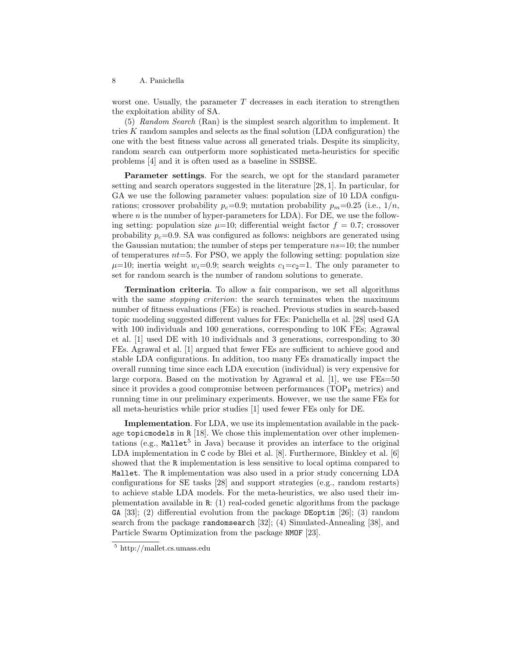worst one. Usually, the parameter  $T$  decreases in each iteration to strengthen the exploitation ability of SA.

(5) Random Search (Ran) is the simplest search algorithm to implement. It tries K random samples and selects as the final solution (LDA configuration) the one with the best fitness value across all generated trials. Despite its simplicity, random search can outperform more sophisticated meta-heuristics for specific problems [4] and it is often used as a baseline in SSBSE.

Parameter settings. For the search, we opt for the standard parameter setting and search operators suggested in the literature [28, 1]. In particular, for GA we use the following parameter values: population size of 10 LDA configurations; crossover probability  $p_c=0.9$ ; mutation probability  $p_m=0.25$  (i.e.,  $1/n$ , where  $n$  is the number of hyper-parameters for LDA). For DE, we use the following setting: population size  $\mu=10$ ; differential weight factor  $f=0.7$ ; crossover probability  $p_c$ =0.9. SA was configured as follows: neighbors are generated using the Gaussian mutation; the number of steps per temperature  $ns=10$ ; the number of temperatures  $nt=5$ . For PSO, we apply the following setting: population size  $\mu=10$ ; inertia weight  $w_i=0.9$ ; search weights  $c_1=c_2=1$ . The only parameter to set for random search is the number of random solutions to generate.

Termination criteria. To allow a fair comparison, we set all algorithms with the same *stopping criterion*: the search terminates when the maximum number of fitness evaluations (FEs) is reached. Previous studies in search-based topic modeling suggested different values for FEs: Panichella et al. [28] used GA with 100 individuals and 100 generations, corresponding to 10K FEs; Agrawal et al. [1] used DE with 10 individuals and 3 generations, corresponding to 30 FEs. Agrawal et al. [1] argued that fewer FEs are sufficient to achieve good and stable LDA configurations. In addition, too many FEs dramatically impact the overall running time since each LDA execution (individual) is very expensive for large corpora. Based on the motivation by Agrawal et al. [1], we use FEs=50 since it provides a good compromise between performances  $(TOP_k$  metrics) and running time in our preliminary experiments. However, we use the same FEs for all meta-heuristics while prior studies [1] used fewer FEs only for DE.

Implementation. For LDA, we use its implementation available in the package topicmodels in R [18]. We chose this implementation over other implementations (e.g.,  $\texttt{Mallet}^5$  in Java) because it provides an interface to the original LDA implementation in C code by Blei et al. [8]. Furthermore, Binkley et al. [6] showed that the R implementation is less sensitive to local optima compared to Mallet. The R implementation was also used in a prior study concerning LDA configurations for SE tasks [28] and support strategies (e.g., random restarts) to achieve stable LDA models. For the meta-heuristics, we also used their implementation available in R: (1) real-coded genetic algorithms from the package GA [33]; (2) differential evolution from the package DEoptim [26]; (3) random search from the package randomsearch [32]; (4) Simulated-Annealing [38], and Particle Swarm Optimization from the package NMOF [23].

<sup>5</sup> http://mallet.cs.umass.edu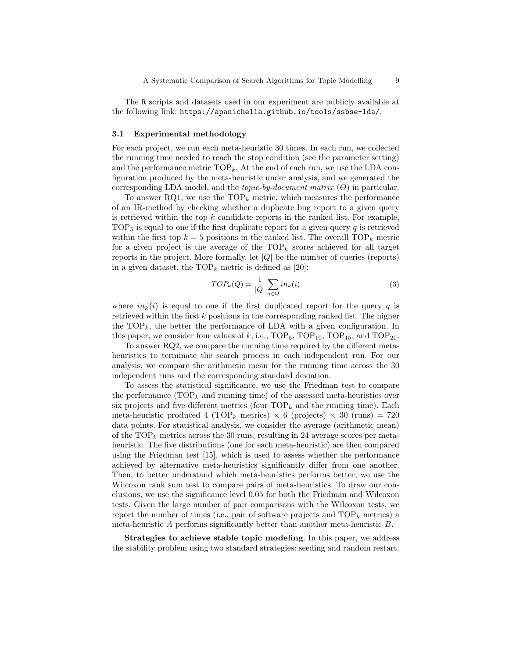The R scripts and datasets used in our experiment are publicly available at the following link: https://apanichella.github.io/tools/ssbse-lda/.

#### 3.1 Experimental methodology

For each project, we run each meta-heuristic 30 times. In each run, we collected the running time needed to reach the stop condition (see the parameter setting) and the performance metric  $\text{TOP}_k$ . At the end of each run, we use the LDA configuration produced by the meta-heuristic under analysis, and we generated the corresponding LDA model, and the *topic-by-document matrix*  $(\Theta)$  in particular.

To answer RQ1, we use the  $TOP_k$  metric, which measures the performance of an IR-method by checking whether a duplicate bug report to a given query is retrieved within the top  $k$  candidate reports in the ranked list. For example,  $\text{TOP}_5$  is equal to one if the first duplicate report for a given query q is retrieved within the first top  $k = 5$  positions in the ranked list. The overall TOP<sub>k</sub> metric for a given project is the average of the  $TOP_k$  scores achieved for all target reports in the project. More formally, let  $|Q|$  be the number of queries (reports) in a given dataset, the  $TOP_k$  metric is defined as [20]:

$$
TOP_k(Q) = \frac{1}{|Q|} \sum_{q \in Q} in_k(i)
$$
\n(3)

where  $in_k(i)$  is equal to one if the first duplicated report for the query q is retrieved within the first  $k$  positions in the corresponding ranked list. The higher the  $\text{TOP}_k$ , the better the performance of LDA with a given configuration. In this paper, we consider four values of  $k$ , i.e.,  $\text{TOP}_5$ ,  $\text{TOP}_{10}$ ,  $\text{TOP}_{15}$ , and  $\text{TOP}_{20}$ .

To answer RQ2, we compare the running time required by the different metaheuristics to terminate the search process in each independent run. For our analysis, we compare the arithmetic mean for the running time across the 30 independent runs and the corresponding standard deviation.

To assess the statistical significance, we use the Friedman test to compare the performance  $(TOP_k$  and running time) of the assessed meta-heuristics over six projects and five different metrics (four  $\text{TOP}_k$  and the running time). Each meta-heuristic produced 4 (TOP<sub>k</sub> metrics)  $\times$  6 (projects)  $\times$  30 (runs) = 720 data points. For statistical analysis, we consider the average (arithmetic mean) of the  $\text{TOP}_k$  metrics across the 30 runs, resulting in 24 average scores per metaheuristic. The five distributions (one for each meta-heuristic) are then compared using the Friedman test [15], which is used to assess whether the performance achieved by alternative meta-heuristics significantly differ from one another. Then, to better understand which meta-heuristics performs better, we use the Wilcoxon rank sum test to compare pairs of meta-heuristics. To draw our conclusions, we use the significance level 0.05 for both the Friedman and Wilcoxon tests. Given the large number of pair comparisons with the Wilcoxon tests, we report the number of times (i.e., pair of software projects and  $\text{TOP}_k$  metrics) a meta-heuristic A performs significantly better than another meta-heuristic B.

Strategies to achieve stable topic modeling. In this paper, we address the stability problem using two standard strategies: seeding and random restart.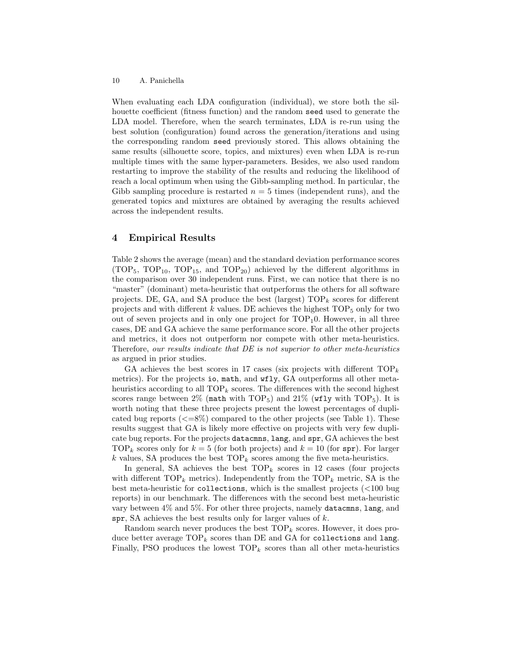When evaluating each LDA configuration (individual), we store both the silhouette coefficient (fitness function) and the random seed used to generate the LDA model. Therefore, when the search terminates, LDA is re-run using the best solution (configuration) found across the generation/iterations and using the corresponding random seed previously stored. This allows obtaining the same results (silhouette score, topics, and mixtures) even when LDA is re-run multiple times with the same hyper-parameters. Besides, we also used random restarting to improve the stability of the results and reducing the likelihood of reach a local optimum when using the Gibb-sampling method. In particular, the Gibb sampling procedure is restarted  $n = 5$  times (independent runs), and the generated topics and mixtures are obtained by averaging the results achieved across the independent results.

## 4 Empirical Results

Table 2 shows the average (mean) and the standard deviation performance scores  $(TOP_5, TOP_{10}, TOP_{15}, and TOP_{20})$  achieved by the different algorithms in the comparison over 30 independent runs. First, we can notice that there is no "master" (dominant) meta-heuristic that outperforms the others for all software projects. DE, GA, and SA produce the best (largest)  $\text{TOP}_k$  scores for different projects and with different k values. DE achieves the highest  $\text{TOP}_5$  only for two out of seven projects and in only one project for  $TOP_10$ . However, in all three cases, DE and GA achieve the same performance score. For all the other projects and metrics, it does not outperform nor compete with other meta-heuristics. Therefore, our results indicate that DE is not superior to other meta-heuristics as argued in prior studies.

GA achieves the best scores in 17 cases (six projects with different  $\text{TOP}_k$ ) metrics). For the projects io, math, and wfly, GA outperforms all other metaheuristics according to all  $TOP_k$  scores. The differences with the second highest scores range between  $2\%$  (math with TOP<sub>5</sub>) and  $21\%$  (wfly with TOP<sub>5</sub>). It is worth noting that these three projects present the lowest percentages of duplicated bug reports ( $\langle \langle =8\% \rangle$ ) compared to the other projects (see Table 1). These results suggest that GA is likely more effective on projects with very few duplicate bug reports. For the projects datacmns, lang, and spr, GA achieves the best TOP<sub>k</sub> scores only for  $k = 5$  (for both projects) and  $k = 10$  (for spr). For larger k values, SA produces the best  $\text{TOP}_k$  scores among the five meta-heuristics.

In general, SA achieves the best  $TOP_k$  scores in 12 cases (four projects with different  $\text{TOP}_k$  metrics). Independently from the  $\text{TOP}_k$  metric, SA is the best meta-heuristic for collections, which is the smallest projects (<100 bug reports) in our benchmark. The differences with the second best meta-heuristic vary between 4% and 5%. For other three projects, namely datacmns, lang, and spr, SA achieves the best results only for larger values of  $k$ .

Random search never produces the best  $\text{TOP}_k$  scores. However, it does produce better average  $\text{TOP}_k$  scores than DE and GA for collections and lang. Finally, PSO produces the lowest  $\text{TOP}_k$  scores than all other meta-heuristics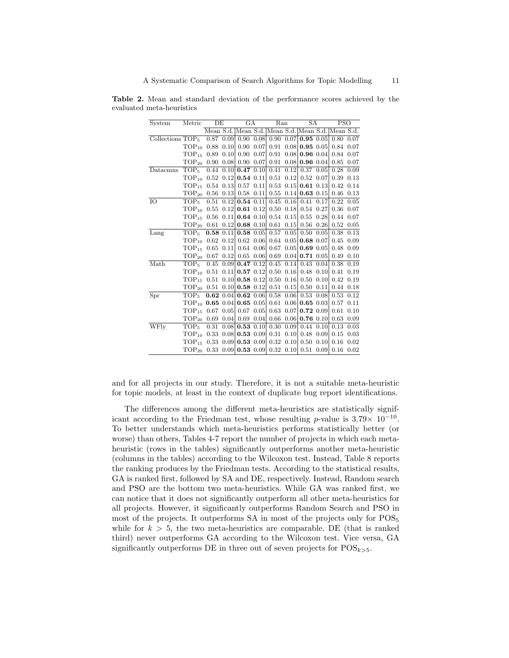| System              | Metric                                | DE            |      | GА                                                |      | Ran           |      | SA                                        |      | <b>PSO</b>                  |      |
|---------------------|---------------------------------------|---------------|------|---------------------------------------------------|------|---------------|------|-------------------------------------------|------|-----------------------------|------|
|                     |                                       |               |      | Mean S.d. Mean S.d. Mean S.d. Mean S.d. Mean S.d. |      |               |      |                                           |      |                             |      |
| Collections $TOP_5$ |                                       | $0.87$ 0.09   |      | $0.90 \quad 0.08$                                 |      |               |      | $0.90$ $0.07$ $0.95$ $0.05$ $0.80$ $0.07$ |      |                             |      |
|                     | $TOP_{10}$                            | $0.88$ $0.10$ |      | 0.90                                              | 0.07 | 0.91          |      | $0.08$ 0.95 0.05                          |      | 0.84 0.07                   |      |
|                     | $\text{TOP}_{15}$                     | 0.89          | 0.10 | 0.90                                              | 0.07 | 0.91          |      | $0.08$ 0.96 0.04                          |      | 0.84 0.07                   |      |
|                     | $TOP_{20}$                            | 0.90          | 0.08 | $0.90 \ 0.07$                                     |      | 0.91          |      | $0.08$ 0.96 0.04                          |      | 0.85                        | 0.07 |
| Datacmns            | $\text{TOP}_5$                        | 0.44          | 0.10 | $0.47$ 0.10                                       |      | 0.41          | 0.12 | 0.37                                      | 0.05 | 0.28                        | 0.09 |
|                     | $TOP_{10}$                            |               |      | $0.52 \quad 0.12$   0.54 $\quad 0.11$             |      | 0.51          | 0.12 | $0.52 \ 0.07$                             |      | 0.39                        | 0.13 |
|                     | $\text{TOP}_{15}$                     | $0.54$ $0.13$ |      | $0.57$ $0.11$                                     |      | 0.53          | 0.15 | $0.61$ 0.13                               |      | $0.42$ $0.14$               |      |
|                     | $TOP_{20}$                            | 0.56          | 0.13 | $0.58$ 0.11                                       |      | 0.55          | 0.14 | $0.63$ 0.15                               |      | 0.46                        | 0.13 |
| IO                  | TOP <sub>5</sub>                      | 0.51          | 0.12 | $0.54$ 0.11                                       |      | 0.45          | 0.16 | 0.41                                      | 0.17 | 0.22                        | 0.05 |
|                     | $TOP_{10}$                            | 0.55          |      | $0.12$   0.61 $0.12$                              |      | 0.50          | 0.18 | $0.54$ $0.27$                             |      | $0.36$ $0.07$               |      |
|                     | $TOP_{15}$                            | 0.56          | 0.11 | $0.64$ 0.10                                       |      | $0.54$ $0.15$ |      | $0.55$ $0.28$                             |      | 0.44 0.07                   |      |
|                     | $TOP_{20}$                            | 0.61          |      | $0.12$ 0.68 0.10                                  |      | 0.61          | 0.15 | 0.56                                      | 0.26 | 0.52                        | 0.05 |
| Lang                | TOP <sub>5</sub>                      | $0.58$ 0.11   |      | $0.58$ 0.05                                       |      | 0.57          | 0.05 | 0.50                                      | 0.05 | 0.38                        | 0.13 |
|                     | $TOP_{10}$                            | $0.62$ 0.12   |      | $0.62 \ 0.06$                                     |      | 0.64 0.05     |      | $0.68$ 0.07 0.45                          |      |                             | 0.09 |
|                     | $TOP_{15}$                            | 0.65          | 0.11 | $0.64$ 0.06                                       |      | 0.67          | 0.05 | $0.69$ 0.05                               |      | 0.48                        | 0.09 |
|                     | $TOP_{20}$                            | 0.67          | 0.12 | $0.65$ 0.06                                       |      | 0.69          |      | $0.04$ 0.71 0.05                          |      | 0.49                        | 0.10 |
| Math                | $\text{TOP}_5$                        | 0.45          | 0.09 | $0.47$ 0.12                                       |      | 0.45          | 0.14 | 0.43                                      | 0.04 | 0.38                        | 0.19 |
|                     | $TOP_{10}$                            | 0.51          |      | $0.11$ 0.57 0.12                                  |      | 0.50          | 0.16 | 0.48                                      |      | 0.10 0.41                   | 0.19 |
|                     | $TOP_{15}$                            | 0.51          |      | $0.10 $ 0.58 0.12                                 |      | 0.50          | 0.16 | 0.50                                      | 0.10 | $0.42\ 0.19$                |      |
|                     | $TOP_{20}$                            | 0.51          |      | $0.10 $ 0.58 0.12                                 |      | 0.51          | 0.15 | 0.50                                      | 0.11 | $0.44$ $0.18$               |      |
| Spr                 | TOP <sub>5</sub>                      | 0.62 0.04     |      | 0.62 0.06                                         |      | 0.58          | 0.06 | 0.53                                      | 0.08 | 0.53                        | 0.12 |
|                     | $\text{TOP}_{10}$ 0.65 0.04 0.65 0.05 |               |      |                                                   |      | 0.61          | 0.06 | $0.65$ 0.03                               |      | $0.57$ $0.11$               |      |
|                     | $TOP_{15}$                            | 0.67          | 0.05 | $0.67$ 0.05                                       |      | 0.63          | 0.07 | 0.72 0.09                                 |      | 0.61                        | 0.10 |
|                     | $TOP_{20}$                            | 0.69          | 0.04 | $0.69$ $0.04$                                     |      | 0.66          | 0.06 | $0.76$ 0.10                               |      | 0.63                        | 0.09 |
| WFly                | $TOP_5$                               | 0.31          | 0.08 | $0.53$ 0.10                                       |      | 0.30          | 0.09 | 0.44                                      | 0.10 | 0.13                        | 0.03 |
|                     | $\text{TOP}_{10}$                     | 0.33          |      | $0.08$ 0.53 0.09                                  |      | 0.31          | 0.10 |                                           |      | $0.48$ $0.09$ $0.15$ $0.03$ |      |
|                     | $\text{TOP}_{15}$                     | 0.33          |      | $0.09$ 0.53 0.09                                  |      | 0.32          | 0.10 | 0.50                                      | 0.10 | 0.16                        | 0.02 |
|                     | $\text{TOP}_{20}$                     | 0.33          |      | $0.09$ 0.53 0.09                                  |      |               |      | $0.32$ 0.10 0.51 0.09 0.16                |      |                             | 0.02 |

Table 2. Mean and standard deviation of the performance scores achieved by the evaluated meta-heuristics

and for all projects in our study. Therefore, it is not a suitable meta-heuristic for topic models, at least in the context of duplicate bug report identifications.

The differences among the different meta-heuristics are statistically significant according to the Friedman test, whose resulting p-value is  $3.79 \times 10^{-10}$ . To better understands which meta-heuristics performs statistically better (or worse) than others, Tables 4-7 report the number of projects in which each metaheuristic (rows in the tables) significantly outperforms another meta-heuristic (columns in the tables) according to the Wilcoxon test. Instead, Table 8 reports the ranking produces by the Friedman tests. According to the statistical results, GA is ranked first, followed by SA and DE, respectively. Instead, Random search and PSO are the bottom two meta-heuristics. While GA was ranked first, we can notice that it does not significantly outperform all other meta-heuristics for all projects. However, it significantly outperforms Random Search and PSO in most of the projects. It outperforms  $SA$  in most of the projects only for  $POS<sub>5</sub>$ while for  $k > 5$ , the two meta-heuristics are comparable. DE (that is ranked third) never outperforms GA according to the Wilcoxon test. Vice versa, GA significantly outperforms DE in three out of seven projects for  $POS_{k>5}$ .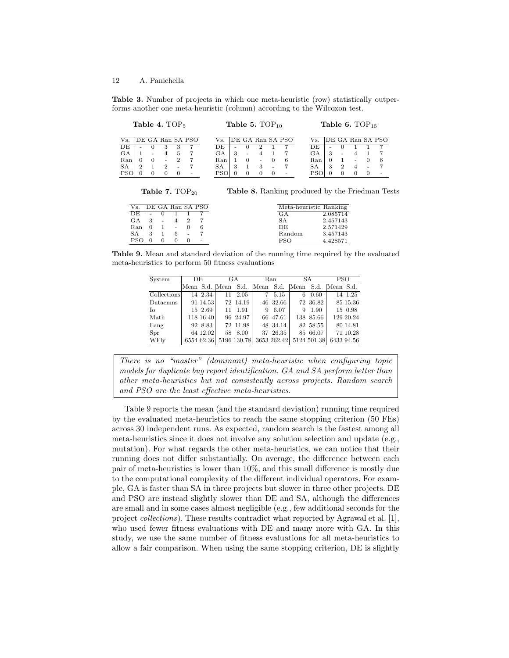Table 3. Number of projects in which one meta-heuristic (row) statistically outperforms another one meta-heuristic (column) according to the Wilcoxon test.

| Table 4. $TOP_5$ |   |   |   |          | Table 5. $TOP_{10}$ |            |   |   |                          |                          |                  | Table 6. $TOP_{15}$ |     |   |                          |   |                          |                  |
|------------------|---|---|---|----------|---------------------|------------|---|---|--------------------------|--------------------------|------------------|---------------------|-----|---|--------------------------|---|--------------------------|------------------|
| Vs.              |   |   |   |          | DE GA Ran SA PSO    | Vs.        |   |   |                          |                          | DE GA Ran SA PSO |                     | Vs. |   |                          |   |                          | DE GA Ran SA PSO |
| DE               |   |   |   |          |                     | DE         |   |   |                          |                          |                  |                     | DE  | - |                          |   |                          |                  |
| GA               |   | - |   | 5        |                     | GА         | 3 | ۰ |                          |                          |                  |                     | GА  | 3 | $\overline{\phantom{a}}$ |   |                          |                  |
| Ran              |   |   | - |          |                     | Ran        |   |   | $\overline{\phantom{a}}$ | $\left($                 | 6                |                     | Ran |   |                          | - |                          | 6                |
| SA               | 2 |   | 2 | ۰        |                     | SА         | 3 |   | 3                        | $\overline{\phantom{a}}$ |                  |                     | SА  | 3 | 9                        |   | $\overline{\phantom{a}}$ |                  |
| PS <sub>0</sub>  |   |   |   | $\theta$ |                     | <b>PSO</b> |   |   |                          | $\Omega$                 | ٠                |                     | PS0 |   |                          |   |                          |                  |
|                  |   |   |   |          |                     |            |   |   |                          |                          |                  |                     |     |   |                          |   |                          |                  |

Table  $7.$  TOP<sub>20</sub>

Table 8. Ranking produced by the Friedman Tests

| Vs.        |                          |   |   |   | DE GA Ran SA PSO |
|------------|--------------------------|---|---|---|------------------|
| DE         | $\overline{\phantom{a}}$ |   |   |   |                  |
| GА         |                          | - |   |   |                  |
| Ran        |                          |   | - |   |                  |
| SА         |                          |   |   | ۰ |                  |
| <b>PSC</b> |                          |   |   |   | -                |

Table 9. Mean and standard deviation of the running time required by the evaluated meta-heuristics to perform 50 fitness evaluations

| System          | DE |            |    | GА                  |           | Ran         |           | SА          | <b>PSO</b> |           |  |
|-----------------|----|------------|----|---------------------|-----------|-------------|-----------|-------------|------------|-----------|--|
|                 |    |            |    | Mean S.d. Mean S.d. | Mean S.d. |             | Mean S.d. |             | Mean S.d.  |           |  |
| Collections     |    | 14 2.34    | 11 | 2.05                | 7         | 5.15        | 6         | 0.60        |            | 14 1.25   |  |
| <b>Datacmns</b> |    | 91 14.53   |    | 72 14.19            |           | 46 32.66    |           | 72 36.82    |            | 85 15.36  |  |
| Io              |    | 15 2.69    |    | 11 1.91             | 9         | 6.07        |           | 9 1.90      |            | 15 0.98   |  |
| Math            |    | 118 16.40  |    | 96 24.97            |           | 66 47.61    |           | 138 85.66   |            | 129 20.24 |  |
| Lang            |    | 92 8.83    |    | 72 11.98            |           | 48 34.14    |           | 82 58.55    |            | 80 14.81  |  |
| Spr             |    | 64 12.02   |    | 58 8.00             |           | 37 26.35    |           | 85 66.07    |            | 71 10.28  |  |
| WFly            |    | 6554 62.36 |    | 5196 130.78         |           | 3653 262.42 |           | 5124 501.38 | 6433 94.56 |           |  |

There is no "master" (dominant) meta-heuristic when configuring topic models for duplicate bug report identification. GA and SA perform better than other meta-heuristics but not consistently across projects. Random search and PSO are the least effective meta-heuristics.

Table 9 reports the mean (and the standard deviation) running time required by the evaluated meta-heuristics to reach the same stopping criterion (50 FEs) across 30 independent runs. As expected, random search is the fastest among all meta-heuristics since it does not involve any solution selection and update (e.g., mutation). For what regards the other meta-heuristics, we can notice that their running does not differ substantially. On average, the difference between each pair of meta-heuristics is lower than 10%, and this small difference is mostly due to the computational complexity of the different individual operators. For example, GA is faster than SA in three projects but slower in three other projects. DE and PSO are instead slightly slower than DE and SA, although the differences are small and in some cases almost negligible (e.g., few additional seconds for the project collections). These results contradict what reported by Agrawal et al. [1], who used fewer fitness evaluations with DE and many more with GA. In this study, we use the same number of fitness evaluations for all meta-heuristics to allow a fair comparison. When using the same stopping criterion, DE is slightly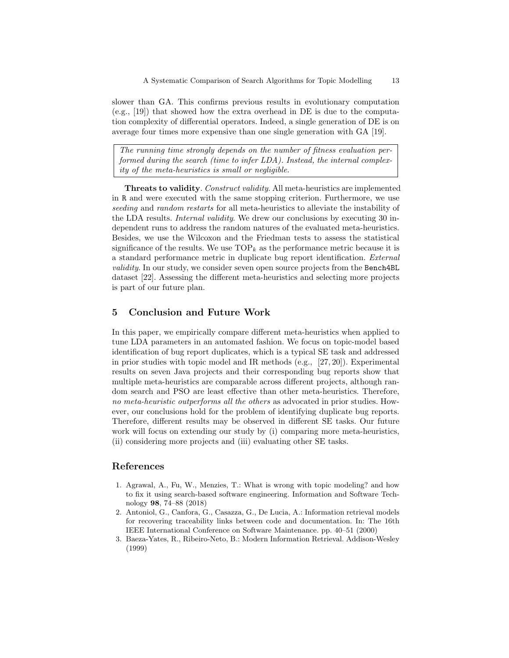slower than GA. This confirms previous results in evolutionary computation (e.g., [19]) that showed how the extra overhead in DE is due to the computation complexity of differential operators. Indeed, a single generation of DE is on average four times more expensive than one single generation with GA [19].

The running time strongly depends on the number of fitness evaluation performed during the search (time to infer LDA). Instead, the internal complexity of the meta-heuristics is small or negligible.

Threats to validity. Construct validity. All meta-heuristics are implemented in R and were executed with the same stopping criterion. Furthermore, we use seeding and random restarts for all meta-heuristics to alleviate the instability of the LDA results. Internal validity. We drew our conclusions by executing 30 independent runs to address the random natures of the evaluated meta-heuristics. Besides, we use the Wilcoxon and the Friedman tests to assess the statistical significance of the results. We use  $\text{TOP}_k$  as the performance metric because it is a standard performance metric in duplicate bug report identification. External validity. In our study, we consider seven open source projects from the Bench4BL dataset [22]. Assessing the different meta-heuristics and selecting more projects is part of our future plan.

## 5 Conclusion and Future Work

In this paper, we empirically compare different meta-heuristics when applied to tune LDA parameters in an automated fashion. We focus on topic-model based identification of bug report duplicates, which is a typical SE task and addressed in prior studies with topic model and IR methods (e.g., [27, 20]). Experimental results on seven Java projects and their corresponding bug reports show that multiple meta-heuristics are comparable across different projects, although random search and PSO are least effective than other meta-heuristics. Therefore, no meta-heuristic outperforms all the others as advocated in prior studies. However, our conclusions hold for the problem of identifying duplicate bug reports. Therefore, different results may be observed in different SE tasks. Our future work will focus on extending our study by (i) comparing more meta-heuristics, (ii) considering more projects and (iii) evaluating other SE tasks.

## References

- 1. Agrawal, A., Fu, W., Menzies, T.: What is wrong with topic modeling? and how to fix it using search-based software engineering. Information and Software Technology 98, 74–88 (2018)
- 2. Antoniol, G., Canfora, G., Casazza, G., De Lucia, A.: Information retrieval models for recovering traceability links between code and documentation. In: The 16th IEEE International Conference on Software Maintenance. pp. 40–51 (2000)
- 3. Baeza-Yates, R., Ribeiro-Neto, B.: Modern Information Retrieval. Addison-Wesley (1999)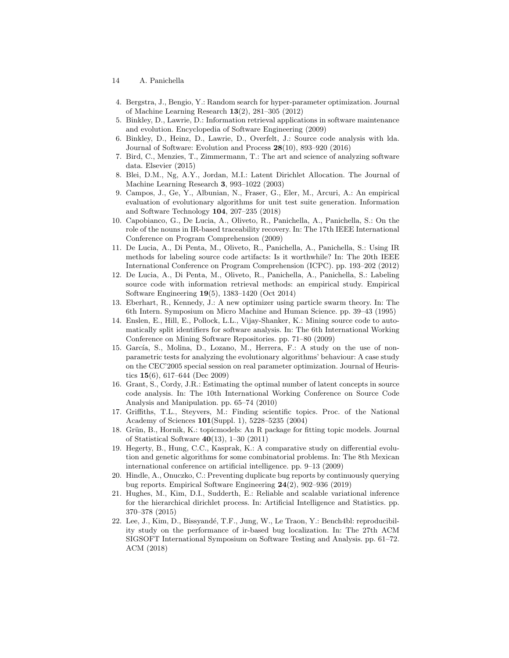- 14 A. Panichella
- 4. Bergstra, J., Bengio, Y.: Random search for hyper-parameter optimization. Journal of Machine Learning Research 13(2), 281–305 (2012)
- 5. Binkley, D., Lawrie, D.: Information retrieval applications in software maintenance and evolution. Encyclopedia of Software Engineering (2009)
- 6. Binkley, D., Heinz, D., Lawrie, D., Overfelt, J.: Source code analysis with lda. Journal of Software: Evolution and Process 28(10), 893–920 (2016)
- 7. Bird, C., Menzies, T., Zimmermann, T.: The art and science of analyzing software data. Elsevier (2015)
- 8. Blei, D.M., Ng, A.Y., Jordan, M.I.: Latent Dirichlet Allocation. The Journal of Machine Learning Research 3, 993–1022 (2003)
- 9. Campos, J., Ge, Y., Albunian, N., Fraser, G., Eler, M., Arcuri, A.: An empirical evaluation of evolutionary algorithms for unit test suite generation. Information and Software Technology 104, 207–235 (2018)
- 10. Capobianco, G., De Lucia, A., Oliveto, R., Panichella, A., Panichella, S.: On the role of the nouns in IR-based traceability recovery. In: The 17th IEEE International Conference on Program Comprehension (2009)
- 11. De Lucia, A., Di Penta, M., Oliveto, R., Panichella, A., Panichella, S.: Using IR methods for labeling source code artifacts: Is it worthwhile? In: The 20th IEEE International Conference on Program Comprehension (ICPC). pp. 193–202 (2012)
- 12. De Lucia, A., Di Penta, M., Oliveto, R., Panichella, A., Panichella, S.: Labeling source code with information retrieval methods: an empirical study. Empirical Software Engineering 19(5), 1383–1420 (Oct 2014)
- 13. Eberhart, R., Kennedy, J.: A new optimizer using particle swarm theory. In: The 6th Intern. Symposium on Micro Machine and Human Science. pp. 39–43 (1995)
- 14. Enslen, E., Hill, E., Pollock, L.L., Vijay-Shanker, K.: Mining source code to automatically split identifiers for software analysis. In: The 6th International Working Conference on Mining Software Repositories. pp. 71–80 (2009)
- 15. García, S., Molina, D., Lozano, M., Herrera, F.: A study on the use of nonparametric tests for analyzing the evolutionary algorithms' behaviour: A case study on the CEC'2005 special session on real parameter optimization. Journal of Heuristics 15(6), 617–644 (Dec 2009)
- 16. Grant, S., Cordy, J.R.: Estimating the optimal number of latent concepts in source code analysis. In: The 10th International Working Conference on Source Code Analysis and Manipulation. pp. 65–74 (2010)
- 17. Griffiths, T.L., Steyvers, M.: Finding scientific topics. Proc. of the National Academy of Sciences 101(Suppl. 1), 5228–5235 (2004)
- 18. Grün, B., Hornik, K.: topicmodels: An R package for fitting topic models. Journal of Statistical Software 40(13), 1–30 (2011)
- 19. Hegerty, B., Hung, C.C., Kasprak, K.: A comparative study on differential evolution and genetic algorithms for some combinatorial problems. In: The 8th Mexican international conference on artificial intelligence. pp. 9–13 (2009)
- 20. Hindle, A., Onuczko, C.: Preventing duplicate bug reports by continuously querying bug reports. Empirical Software Engineering 24(2), 902–936 (2019)
- 21. Hughes, M., Kim, D.I., Sudderth, E.: Reliable and scalable variational inference for the hierarchical dirichlet process. In: Artificial Intelligence and Statistics. pp. 370–378 (2015)
- 22. Lee, J., Kim, D., Bissyandé, T.F., Jung, W., Le Traon, Y.: Bench4bl: reproducibility study on the performance of ir-based bug localization. In: The 27th ACM SIGSOFT International Symposium on Software Testing and Analysis. pp. 61–72. ACM (2018)